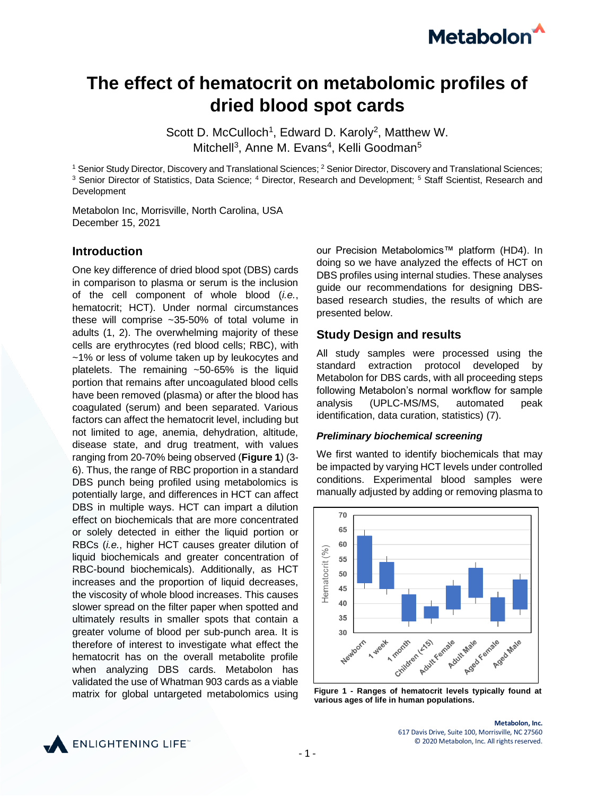# **Metabolon**

## **The effect of hematocrit on metabolomic profiles of dried blood spot cards**

Scott D. McCulloch<sup>1</sup>, Edward D. Karoly<sup>2</sup>, Matthew W. Mitchell<sup>3</sup>, Anne M. Evans<sup>4</sup>, Kelli Goodman<sup>5</sup>

<sup>1</sup> Senior Study Director, Discovery and Translational Sciences; <sup>2</sup> Senior Director, Discovery and Translational Sciences; <sup>3</sup> Senior Director of Statistics, Data Science; <sup>4</sup> Director, Research and Development; <sup>5</sup> Staff Scientist, Research and Development

Metabolon Inc, Morrisville, North Carolina, USA December 15, 2021

#### **Introduction**

One key difference of dried blood spot (DBS) cards in comparison to plasma or serum is the inclusion of the cell component of whole blood (*i.e.*, hematocrit; HCT). Under normal circumstances these will comprise ~35-50% of total volume in adults (1, 2). The overwhelming majority of these cells are erythrocytes (red blood cells; RBC), with ~1% or less of volume taken up by leukocytes and platelets. The remaining ~50-65% is the liquid portion that remains after uncoagulated blood cells have been removed (plasma) or after the blood has coagulated (serum) and been separated. Various factors can affect the hematocrit level, including but not limited to age, anemia, dehydration, altitude, disease state, and drug treatment, with values ranging from 20-70% being observed (**Figure 1**) (3- 6). Thus, the range of RBC proportion in a standard DBS punch being profiled using metabolomics is potentially large, and differences in HCT can affect DBS in multiple ways. HCT can impart a dilution effect on biochemicals that are more concentrated or solely detected in either the liquid portion or RBCs (*i.e.*, higher HCT causes greater dilution of liquid biochemicals and greater concentration of RBC-bound biochemicals). Additionally, as HCT increases and the proportion of liquid decreases, the viscosity of whole blood increases. This causes slower spread on the filter paper when spotted and ultimately results in smaller spots that contain a greater volume of blood per sub-punch area. It is therefore of interest to investigate what effect the hematocrit has on the overall metabolite profile when analyzing DBS cards. Metabolon has validated the use of Whatman 903 cards as a viable matrix for global untargeted metabolomics using

our Precision Metabolomics™ platform (HD4). In doing so we have analyzed the effects of HCT on DBS profiles using internal studies. These analyses guide our recommendations for designing DBSbased research studies, the results of which are presented below.

#### **Study Design and results**

All study samples were processed using the standard extraction protocol developed by Metabolon for DBS cards, with all proceeding steps following Metabolon's normal workflow for sample analysis (UPLC-MS/MS, automated peak identification, data curation, statistics) (7).

#### *Preliminary biochemical screening*

We first wanted to identify biochemicals that may be impacted by varying HCT levels under controlled conditions. Experimental blood samples were manually adjusted by adding or removing plasma to



**Figure 1 - Ranges of hematocrit levels typically found at various ages of life in human populations.**



**Metabolon, Inc.** 617 Davis Drive, Suite 100, Morrisville, NC 27560 © 2020 Metabolon, Inc. All rights reserved.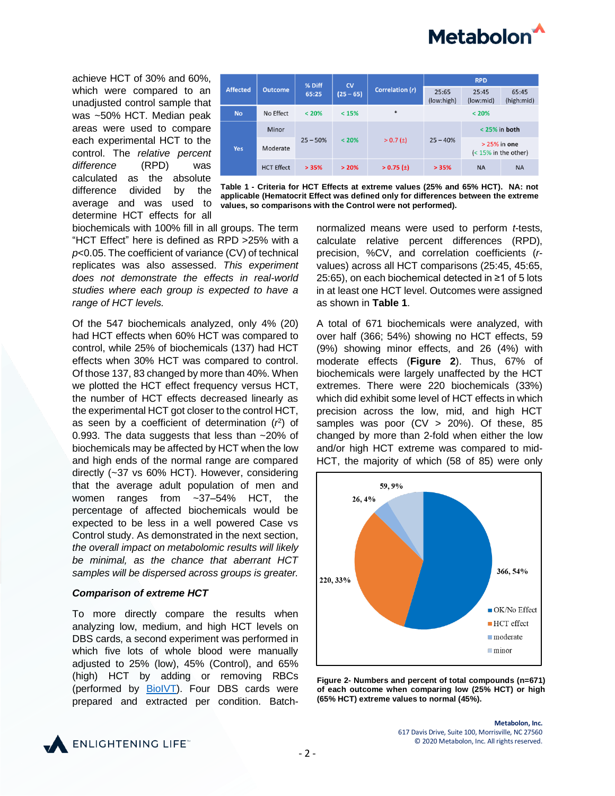

achieve HCT of 30% and 60%, which were compared to an unadjusted control sample that was ~50% HCT. Median peak areas were used to compare each experimental HCT to the control. The *relative percent difference* (RPD) was calculated as the absolute difference divided by the average and was used to determine HCT effects for all



**Table 1 - Criteria for HCT Effects at extreme values (25% and 65% HCT). NA: not applicable (Hematocrit Effect was defined only for differences between the extreme values, so comparisons with the Control were not performed).**

biochemicals with 100% fill in all groups. The term "HCT Effect" here is defined as RPD >25% with a *p*<0.05. The coefficient of variance (CV) of technical replicates was also assessed. *This experiment does not demonstrate the effects in real-world studies where each group is expected to have a range of HCT levels.*

Of the 547 biochemicals analyzed, only 4% (20) had HCT effects when 60% HCT was compared to control, while 25% of biochemicals (137) had HCT effects when 30% HCT was compared to control. Of those 137, 83 changed by more than 40%. When we plotted the HCT effect frequency versus HCT, the number of HCT effects decreased linearly as the experimental HCT got closer to the control HCT, as seen by a coefficient of determination  $(r^2)$  of 0.993. The data suggests that less than ~20% of biochemicals may be affected by HCT when the low and high ends of the normal range are compared directly (~37 vs 60% HCT). However, considering that the average adult population of men and women ranges from ~37–54% HCT, the percentage of affected biochemicals would be expected to be less in a well powered Case vs Control study. As demonstrated in the next section, *the overall impact on metabolomic results will likely be minimal, as the chance that aberrant HCT samples will be dispersed across groups is greater.*

#### *Comparison of extreme HCT*

To more directly compare the results when analyzing low, medium, and high HCT levels on DBS cards, a second experiment was performed in which five lots of whole blood were manually adjusted to 25% (low), 45% (Control), and 65% (high) HCT by adding or removing RBCs (performed by [BioIVT\)](https://bioivt.com/). Four DBS cards were prepared and extracted per condition. Batchnormalized means were used to perform *t*-tests, calculate relative percent differences (RPD), precision, %CV, and correlation coefficients (*r*values) across all HCT comparisons (25:45, 45:65, 25:65), on each biochemical detected in ≥1 of 5 lots in at least one HCT level. Outcomes were assigned as shown in **Table 1**.

A total of 671 biochemicals were analyzed, with over half (366; 54%) showing no HCT effects, 59 (9%) showing minor effects, and 26 (4%) with moderate effects (**Figure 2**). Thus, 67% of biochemicals were largely unaffected by the HCT extremes. There were 220 biochemicals (33%) which did exhibit some level of HCT effects in which precision across the low, mid, and high HCT samples was poor (CV > 20%). Of these, 85 changed by more than 2-fold when either the low and/or high HCT extreme was compared to mid-HCT, the majority of which (58 of 85) were only





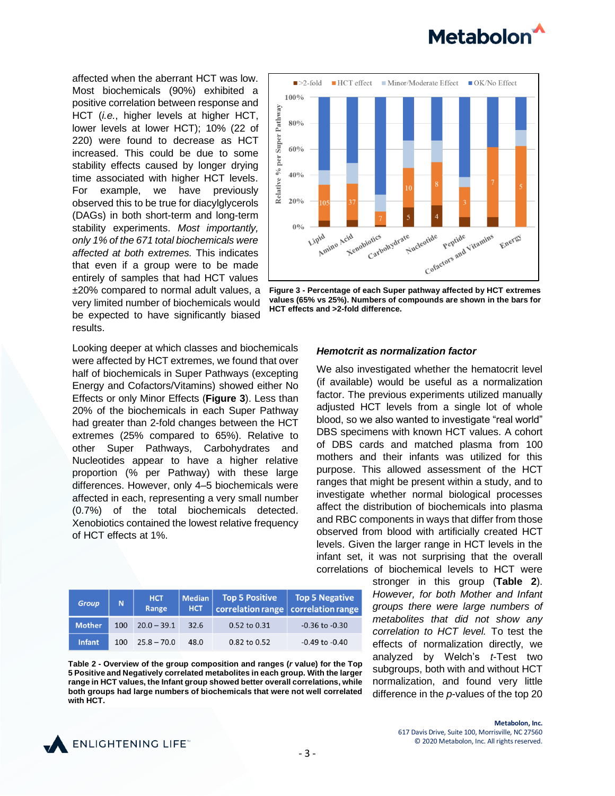

affected when the aberrant HCT was low. Most biochemicals (90%) exhibited a positive correlation between response and HCT (*i.e.*, higher levels at higher HCT, lower levels at lower HCT); 10% (22 of 220) were found to decrease as HCT increased. This could be due to some stability effects caused by longer drying time associated with higher HCT levels. For example, we have previously observed this to be true for diacylglycerols (DAGs) in both short-term and long-term stability experiments. *Most importantly, only 1% of the 671 total biochemicals were affected at both extremes.* This indicates that even if a group were to be made entirely of samples that had HCT values ±20% compared to normal adult values, a very limited number of biochemicals would be expected to have significantly biased results.



**Figure 3 - Percentage of each Super pathway affected by HCT extremes values (65% vs 25%). Numbers of compounds are shown in the bars for HCT effects and >2-fold difference.**

Looking deeper at which classes and biochemicals were affected by HCT extremes, we found that over half of biochemicals in Super Pathways (excepting Energy and Cofactors/Vitamins) showed either No Effects or only Minor Effects (**Figure 3**). Less than 20% of the biochemicals in each Super Pathway had greater than 2-fold changes between the HCT extremes (25% compared to 65%). Relative to other Super Pathways, Carbohydrates and Nucleotides appear to have a higher relative proportion (% per Pathway) with these large differences. However, only 4–5 biochemicals were affected in each, representing a very small number (0.7%) of the total biochemicals detected. Xenobiotics contained the lowest relative frequency of HCT effects at 1%.

| <b>Group</b>  | N   | <b>HCT</b><br>Range | Median  <br><b>HCT</b> | <b>Top 5 Positive</b><br>correlation range correlation range | <b>Top 5 Negative</b> |
|---------------|-----|---------------------|------------------------|--------------------------------------------------------------|-----------------------|
| <b>Mother</b> | 100 | $20.0 - 39.1$       | 32.6                   | 0.52 to 0.31                                                 | $-0.36$ to $-0.30$    |
| <b>Infant</b> | 100 | $25.8 - 70.0$       | 48.0                   | 0.82 to 0.52                                                 | $-0.49$ to $-0.40$    |

**Table 2 - Overview of the group composition and ranges (***r* **value) for the Top 5 Positive and Negatively correlated metabolites in each group. With the larger range in HCT values, the Infant group showed better overall correlations, while both groups had large numbers of biochemicals that were not well correlated with HCT.**

#### *Hemotcrit as normalization factor*

We also investigated whether the hematocrit level (if available) would be useful as a normalization factor. The previous experiments utilized manually adjusted HCT levels from a single lot of whole blood, so we also wanted to investigate "real world" DBS specimens with known HCT values. A cohort of DBS cards and matched plasma from 100 mothers and their infants was utilized for this purpose. This allowed assessment of the HCT ranges that might be present within a study, and to investigate whether normal biological processes affect the distribution of biochemicals into plasma and RBC components in ways that differ from those observed from blood with artificially created HCT levels. Given the larger range in HCT levels in the infant set, it was not surprising that the overall correlations of biochemical levels to HCT were

> stronger in this group (**Table 2**). *However, for both Mother and Infant groups there were large numbers of metabolites that did not show any correlation to HCT level.* To test the effects of normalization directly, we analyzed by Welch's *t*-Test two subgroups, both with and without HCT normalization, and found very little difference in the *p*-values of the top 20



**Metabolon, Inc.** 617 Davis Drive, Suite 100, Morrisville, NC 27560 © 2020 Metabolon, Inc. All rights reserved.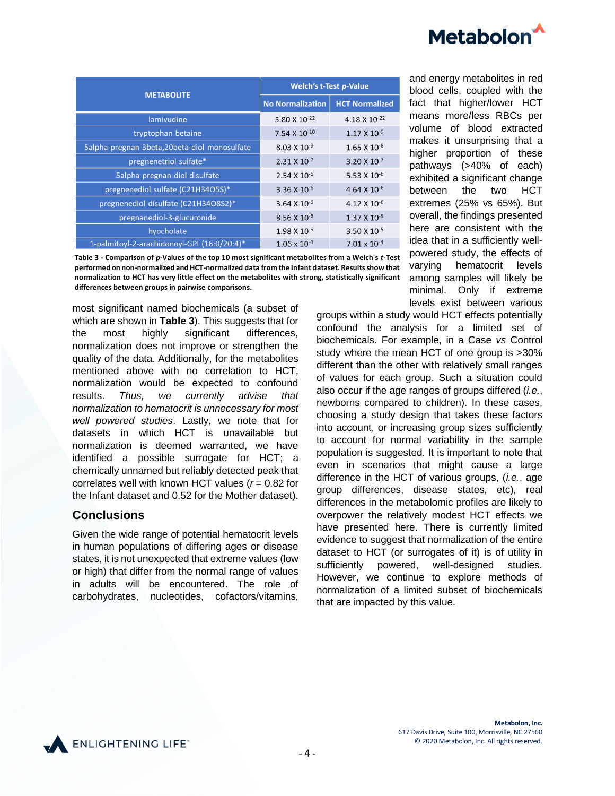

|                                              | <b>Welch's t-Test p-Value</b> |                           |  |
|----------------------------------------------|-------------------------------|---------------------------|--|
| <b>METABOLITE</b>                            | <b>No Normalization</b>       | <b>HCT Normalized</b>     |  |
| lamivudine                                   | 5.80 X 10 <sup>-22</sup>      | 4.18 X 10 <sup>-22</sup>  |  |
| tryptophan betaine                           | 7.54 X 10 <sup>-10</sup>      | $1.17 \times 10^{-9}$     |  |
| 5alpha-pregnan-3beta,20beta-diol monosulfate | $8.03 \times 10^{-9}$         | $1.65 \times 10^{-8}$     |  |
| pregnenetriol sulfate*                       | $2.31 \times 10^{-7}$         | $3.20 \times 10^{-7}$     |  |
| Salpha-pregnan-diol disulfate                | $2.54 \times 10^{-6}$         | 5.53 $X$ 10 $^{-6}$       |  |
| pregnenediol sulfate (C21H34O5S)*            | $3.36 \times 10^{-6}$         | 4.64 $X$ 10 <sup>-6</sup> |  |
| pregnenediol disulfate (C21H34O8S2)*         | $3.64 \times 10^{-6}$         | 4.12 X 10 <sup>-6</sup>   |  |
| pregnanediol-3-glucuronide                   | 8.56 X 10-6                   | $1.37 \times 10^{-5}$     |  |
| hyocholate                                   | $1.98 \times 10^{-5}$         | 3.50 X 10-5               |  |
| 1-palmitoyl-2-arachidonoyl-GPI (16:0/20:4)*  | $1.06 \times 10^{-4}$         | $7.01 \times 10^{-4}$     |  |

**Table 3 - Comparison of** *p***-Values of the top 10 most significant metabolites from a Welch's** *t***-Test performed on non-normalized and HCT-normalized data from the Infant dataset. Results show that normalization to HCT has very little effect on the metabolites with strong, statistically significant differences between groups in pairwise comparisons.**

most significant named biochemicals (a subset of which are shown in **Table 3**). This suggests that for the most highly significant differences, normalization does not improve or strengthen the quality of the data. Additionally, for the metabolites mentioned above with no correlation to HCT, normalization would be expected to confound results. *Thus, we currently advise that normalization to hematocrit is unnecessary for most well powered studies*. Lastly, we note that for datasets in which HCT is unavailable but normalization is deemed warranted, we have identified a possible surrogate for HCT; a chemically unnamed but reliably detected peak that correlates well with known HCT values (*r* = 0.82 for the Infant dataset and 0.52 for the Mother dataset).

#### **Conclusions**

Given the wide range of potential hematocrit levels in human populations of differing ages or disease states, it is not unexpected that extreme values (low or high) that differ from the normal range of values in adults will be encountered. The role of carbohydrates, nucleotides, cofactors/vitamins,

and energy metabolites in red blood cells, coupled with the fact that higher/lower HCT means more/less RBCs per volume of blood extracted makes it unsurprising that a higher proportion of these pathways (>40% of each) exhibited a significant change between the two HCT extremes (25% vs 65%). But overall, the findings presented here are consistent with the idea that in a sufficiently wellpowered study, the effects of varying hematocrit levels among samples will likely be minimal. Only if extreme levels exist between various

groups within a study would HCT effects potentially confound the analysis for a limited set of biochemicals. For example, in a Case *vs* Control study where the mean HCT of one group is >30% different than the other with relatively small ranges of values for each group. Such a situation could also occur if the age ranges of groups differed (*i.e.*, newborns compared to children). In these cases, choosing a study design that takes these factors into account, or increasing group sizes sufficiently to account for normal variability in the sample population is suggested. It is important to note that even in scenarios that might cause a large difference in the HCT of various groups, (*i.e.*, age group differences, disease states, etc), real differences in the metabolomic profiles are likely to overpower the relatively modest HCT effects we have presented here. There is currently limited evidence to suggest that normalization of the entire dataset to HCT (or surrogates of it) is of utility in sufficiently powered, well-designed studies. However, we continue to explore methods of normalization of a limited subset of biochemicals that are impacted by this value.